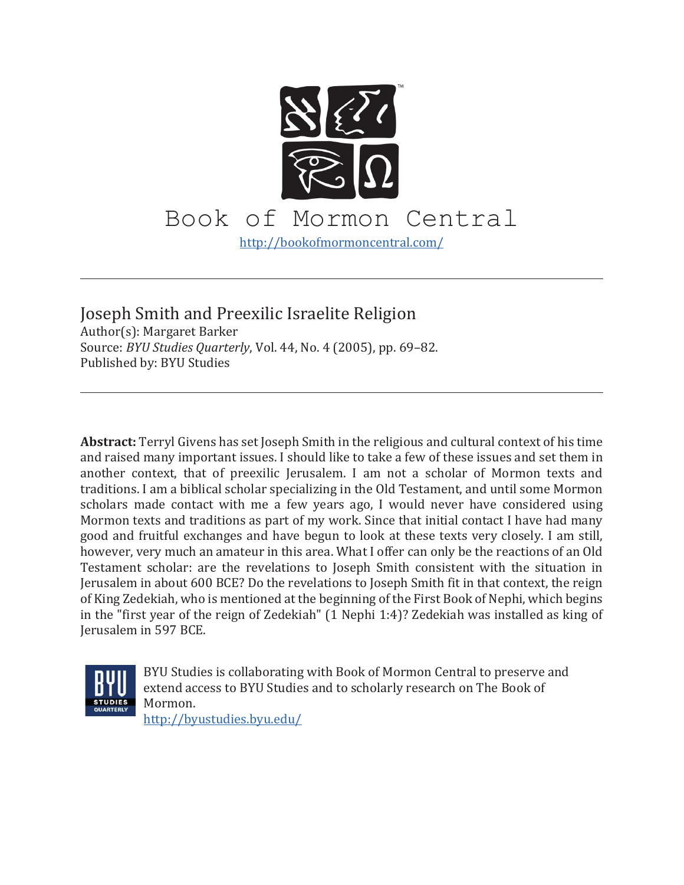

## Joseph Smith and Preexilic Israelite Religion

Author(s): Margaret Barker Source: *BYU Studies Quarterly*, Vol. 44, No. 4 (2005), pp. 69–82. Published by: BYU Studies

**Abstract:** Terryl Givens has set Joseph Smith in the religious and cultural context of his time and raised many important issues. I should like to take a few of these issues and set them in another context, that of preexilic Jerusalem. I am not a scholar of Mormon texts and traditions. I am a biblical scholar specializing in the Old Testament, and until some Mormon scholars made contact with me a few years ago, I would never have considered using Mormon texts and traditions as part of my work. Since that initial contact I have had many good and fruitful exchanges and have begun to look at these texts very closely. I am still, however, very much an amateur in this area. What I offer can only be the reactions of an Old Testament scholar: are the revelations to Joseph Smith consistent with the situation in Jerusalem in about 600 BCE? Do the revelations to Joseph Smith fit in that context, the reign of King Zedekiah, who is mentioned at the beginning of the First Book of Nephi, which begins in the "first year of the reign of Zedekiah" (1 Nephi 1:4)? Zedekiah was installed as king of Jerusalem in 597 BCE.



BYU Studies is collaborating with Book of Mormon Central to preserve and extend access to BYU Studies and to scholarly research on The Book of Mormon. http://byustudies.byu.edu/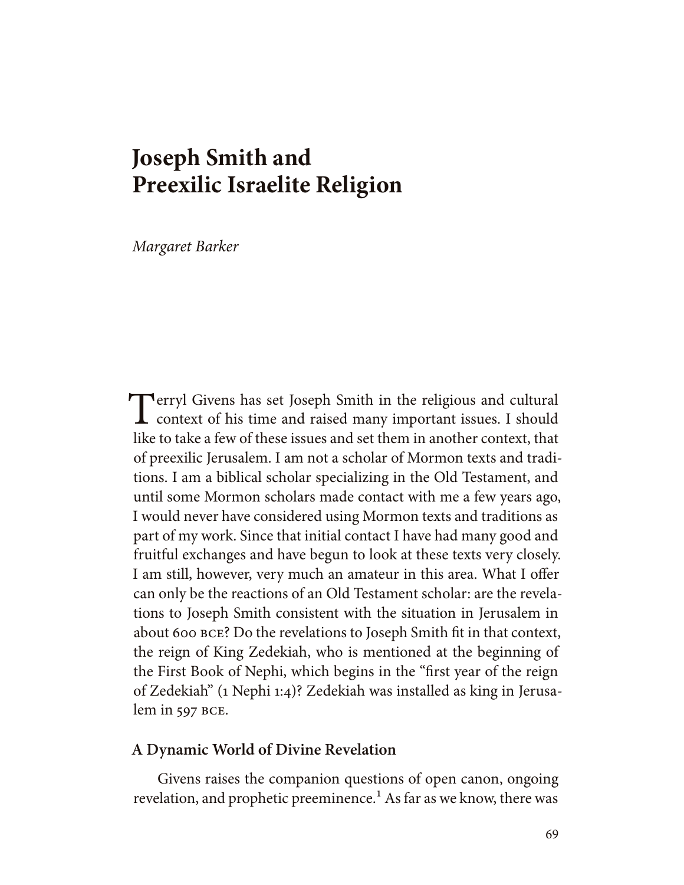# **Joseph Smith and Preexilic Israelite Religion**

Margaret Barker

Terryl Givens has set Joseph Smith in the religious and cultural<br>context of his time and raised many important issues. I should like to take a few of these issues and set them in another context, that of preexilic Jerusalem. I am not a scholar of Mormon texts and traditions. I am a biblical scholar specializing in the Old Testament, and until some Mormon scholars made contact with me a few years ago, I would never have considered using Mormon texts and traditions as part of my work. Since that initial contact I have had many good and fruitful exchanges and have begun to look at these texts very closely. I am still, however, very much an amateur in this area. What I offer can only be the reactions of an Old Testament scholar: are the revelations to Joseph Smith consistent with the situation in Jerusalem in about 600 BCE? Do the revelations to Joseph Smith fit in that context, the reign of King Zedekiah, who is mentioned at the beginning of the First Book of Nephi, which begins in the "first year of the reign of Zedekiah" (1 Nephi 1:4)? Zedekiah was installed as king in Jerusa $lem$  in 597 BCE.

## A Dynamic World of Divine Revelation

Givens raises the companion questions of open canon, ongoing revelation, and prophetic preeminence.<sup>1</sup> As far as we know, there was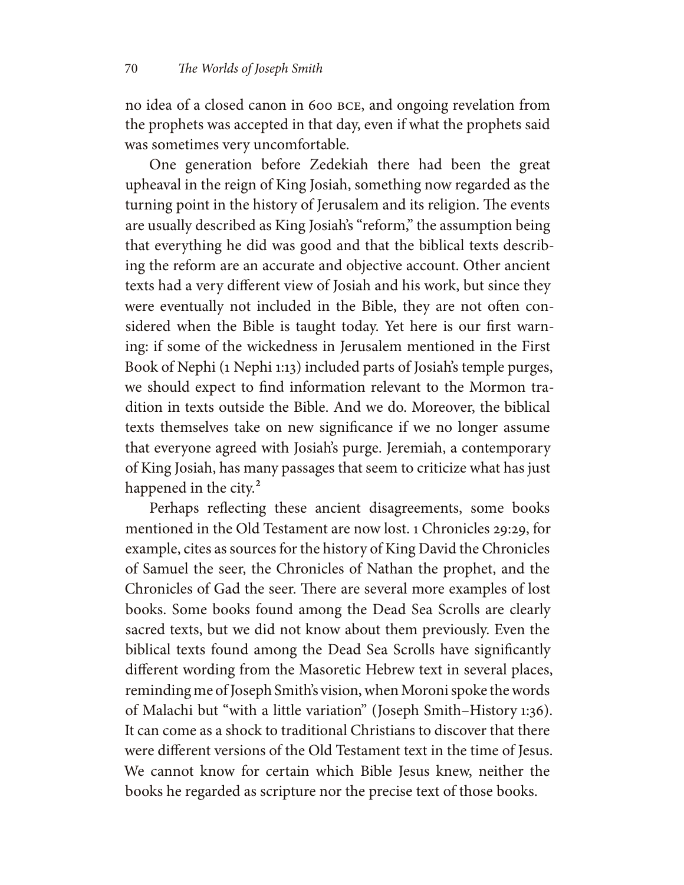no idea of a closed canon in 600 BCE, and ongoing revelation from the prophets was accepted in that day, even if what the prophets said was sometimes very uncomfortable.

One generation before Zedekiah there had been the great upheaval in the reign of King Josiah, something now regarded as the turning point in the history of Jerusalem and its religion. The events are usually described as King Josiah's "reform," the assumption being that everything he did was good and that the biblical texts describing the reform are an accurate and objective account. Other ancient texts had a very different view of Josiah and his work, but since they were eventually not included in the Bible, they are not often considered when the Bible is taught today. Yet here is our first warning: if some of the wickedness in Jerusalem mentioned in the First Book of Nephi (1 Nephi 1:13) included parts of Josiah's temple purges, we should expect to find information relevant to the Mormon tradition in texts outside the Bible. And we do. Moreover, the biblical texts themselves take on new significance if we no longer assume that everyone agreed with Josiah's purge. Jeremiah, a contemporary of King Josiah, has many passages that seem to criticize what has just happened in the city.<sup>2</sup>

Perhaps reflecting these ancient disagreements, some books mentioned in the Old Testament are now lost. 1 Chronicles 29:29, for example, cites as sources for the history of King David the Chronicles of Samuel the seer, the Chronicles of Nathan the prophet, and the Chronicles of Gad the seer. There are several more examples of lost books. Some books found among the Dead Sea Scrolls are clearly sacred texts, but we did not know about them previously. Even the biblical texts found among the Dead Sea Scrolls have significantly different wording from the Masoretic Hebrew text in several places, reminding me of Joseph Smith's vision, when Moroni spoke the words of Malachi but "with a little variation" (Joseph Smith-History 1:36). It can come as a shock to traditional Christians to discover that there were different versions of the Old Testament text in the time of Jesus. We cannot know for certain which Bible Jesus knew, neither the books he regarded as scripture nor the precise text of those books.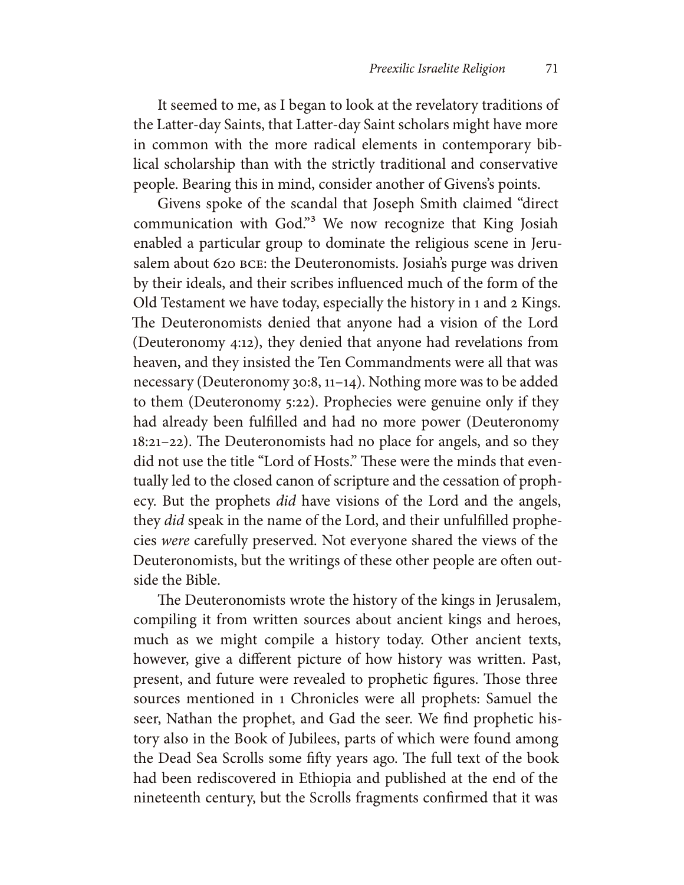It seemed to me, as I began to look at the revelatory traditions of the Latter-day Saints, that Latter-day Saint scholars might have more in common with the more radical elements in contemporary biblical scholarship than with the strictly traditional and conservative people. Bearing this in mind, consider another of Givens's points.

Givens spoke of the scandal that Joseph Smith claimed "direct communication with God."<sup>3</sup> We now recognize that King Josiah enabled a particular group to dominate the religious scene in Jerusalem about 620 BCE: the Deuteronomists. Josiah's purge was driven by their ideals, and their scribes influenced much of the form of the Old Testament we have today, especially the history in 1 and 2 Kings. The Deuteronomists denied that anyone had a vision of the Lord (Deuteronomy 4:12), they denied that anyone had revelations from heaven, and they insisted the Ten Commandments were all that was necessary (Deuteronomy 30:8, 11-14). Nothing more was to be added to them (Deuteronomy 5:22). Prophecies were genuine only if they had already been fulfilled and had no more power (Deuteronomy  $18:21-22$ ). The Deuteronomists had no place for angels, and so they did not use the title "Lord of Hosts." These were the minds that eventually led to the closed canon of scripture and the cessation of prophecy. But the prophets *did* have visions of the Lord and the angels, they did speak in the name of the Lord, and their unfulfilled prophecies were carefully preserved. Not everyone shared the views of the Deuteronomists, but the writings of these other people are often outside the Bible.

The Deuteronomists wrote the history of the kings in Jerusalem, compiling it from written sources about ancient kings and heroes, much as we might compile a history today. Other ancient texts, however, give a different picture of how history was written. Past, present, and future were revealed to prophetic figures. Those three sources mentioned in 1 Chronicles were all prophets: Samuel the seer, Nathan the prophet, and Gad the seer. We find prophetic history also in the Book of Jubilees, parts of which were found among the Dead Sea Scrolls some fifty years ago. The full text of the book had been rediscovered in Ethiopia and published at the end of the nineteenth century, but the Scrolls fragments confirmed that it was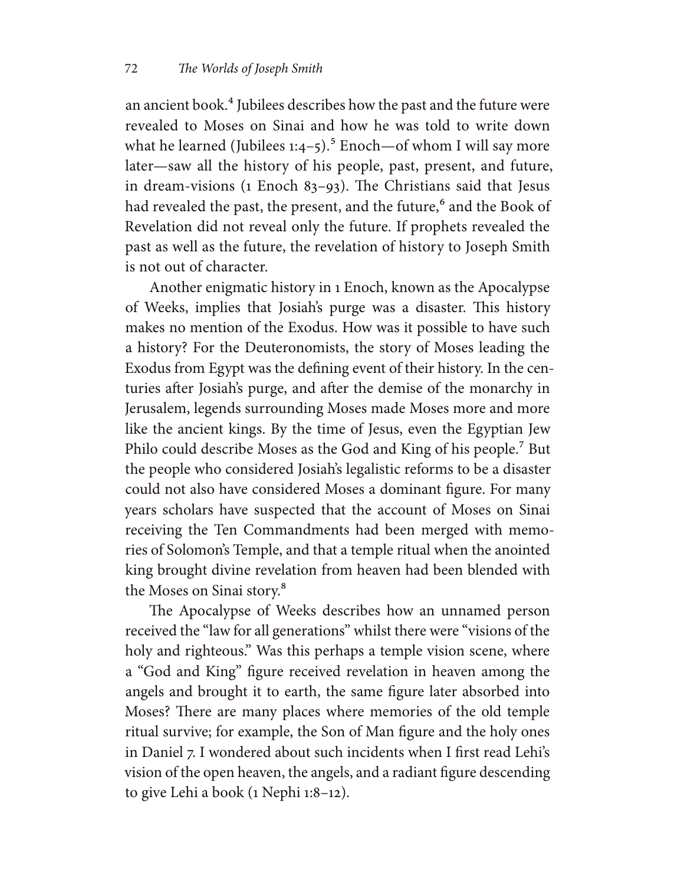an ancient book.<sup>4</sup> Jubilees describes how the past and the future were revealed to Moses on Sinai and how he was told to write down what he learned (Jubilees  $1:4-5$ ).<sup>5</sup> Enoch—of whom I will say more later—saw all the history of his people, past, present, and future, in dream-visions ( $1$  Enoch  $83-93$ ). The Christians said that Jesus had revealed the past, the present, and the future,<sup>6</sup> and the Book of Revelation did not reveal only the future. If prophets revealed the past as well as the future, the revelation of history to Joseph Smith is not out of character.

Another enigmatic history in 1 Enoch, known as the Apocalypse of Weeks, implies that Josiah's purge was a disaster. This history makes no mention of the Exodus. How was it possible to have such a history? For the Deuteronomists, the story of Moses leading the Exodus from Egypt was the defining event of their history. In the centuries after Josiah's purge, and after the demise of the monarchy in Jerusalem, legends surrounding Moses made Moses more and more like the ancient kings. By the time of Jesus, even the Egyptian Jew Philo could describe Moses as the God and King of his people.<sup>7</sup> But the people who considered Josiah's legalistic reforms to be a disaster could not also have considered Moses a dominant figure. For many years scholars have suspected that the account of Moses on Sinai receiving the Ten Commandments had been merged with memories of Solomon's Temple, and that a temple ritual when the anointed king brought divine revelation from heaven had been blended with the Moses on Sinai story.<sup>8</sup>

The Apocalypse of Weeks describes how an unnamed person received the "law for all generations" whilst there were "visions of the holy and righteous." Was this perhaps a temple vision scene, where a "God and King" figure received revelation in heaven among the angels and brought it to earth, the same figure later absorbed into Moses? There are many places where memories of the old temple ritual survive; for example, the Son of Man figure and the holy ones in Daniel 7. I wondered about such incidents when I first read Lehi's vision of the open heaven, the angels, and a radiant figure descending to give Lehi a book  $(1$  Nephi  $1:8-12)$ .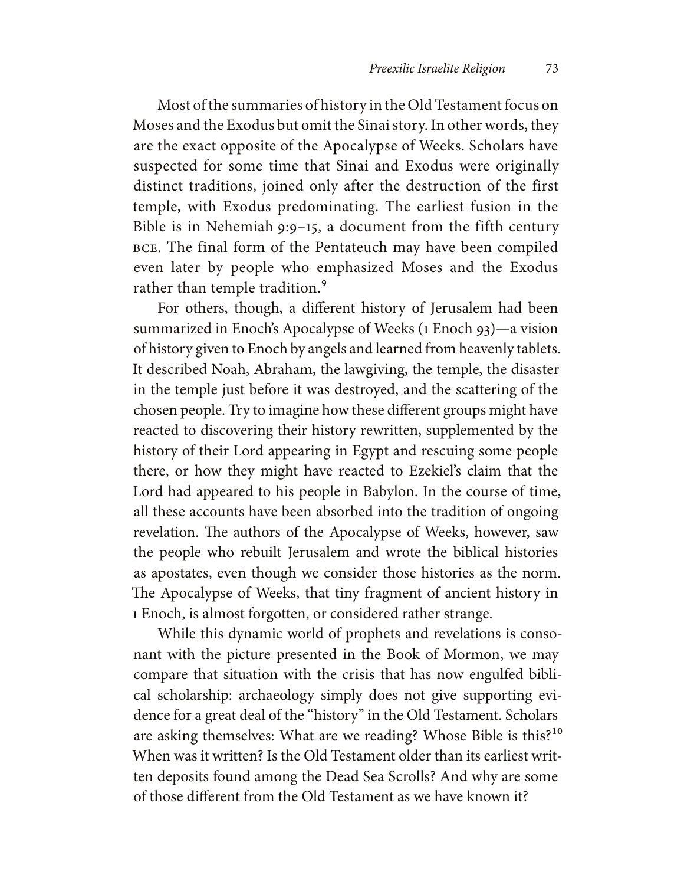Most of the summaries of history in the Old Testament focus on Moses and the Exodus but omit the Sinai story. In other words, they are the exact opposite of the Apocalypse of Weeks. Scholars have suspected for some time that Sinai and Exodus were originally distinct traditions, joined only after the destruction of the first temple, with Exodus predominating. The earliest fusion in the Bible is in Nehemiah  $9:9-15$ , a document from the fifth century BCE. The final form of the Pentateuch may have been compiled even later by people who emphasized Moses and the Exodus rather than temple tradition.<sup>9</sup>

For others, though, a different history of Jerusalem had been summarized in Enoch's Apocalypse of Weeks (1 Enoch 93)—a vision of history given to Enoch by angels and learned from heavenly tablets. It described Noah, Abraham, the lawgiving, the temple, the disaster in the temple just before it was destroyed, and the scattering of the chosen people. Try to imagine how these different groups might have reacted to discovering their history rewritten, supplemented by the history of their Lord appearing in Egypt and rescuing some people there, or how they might have reacted to Ezekiel's claim that the Lord had appeared to his people in Babylon. In the course of time, all these accounts have been absorbed into the tradition of ongoing revelation. The authors of the Apocalypse of Weeks, however, saw the people who rebuilt Jerusalem and wrote the biblical histories as apostates, even though we consider those histories as the norm. The Apocalypse of Weeks, that tiny fragment of ancient history in 1 Enoch, is almost forgotten, or considered rather strange.

While this dynamic world of prophets and revelations is consonant with the picture presented in the Book of Mormon, we may compare that situation with the crisis that has now engulfed biblical scholarship: archaeology simply does not give supporting evidence for a great deal of the "history" in the Old Testament. Scholars are asking themselves: What are we reading? Whose Bible is this?<sup>10</sup> When was it written? Is the Old Testament older than its earliest written deposits found among the Dead Sea Scrolls? And why are some of those different from the Old Testament as we have known it?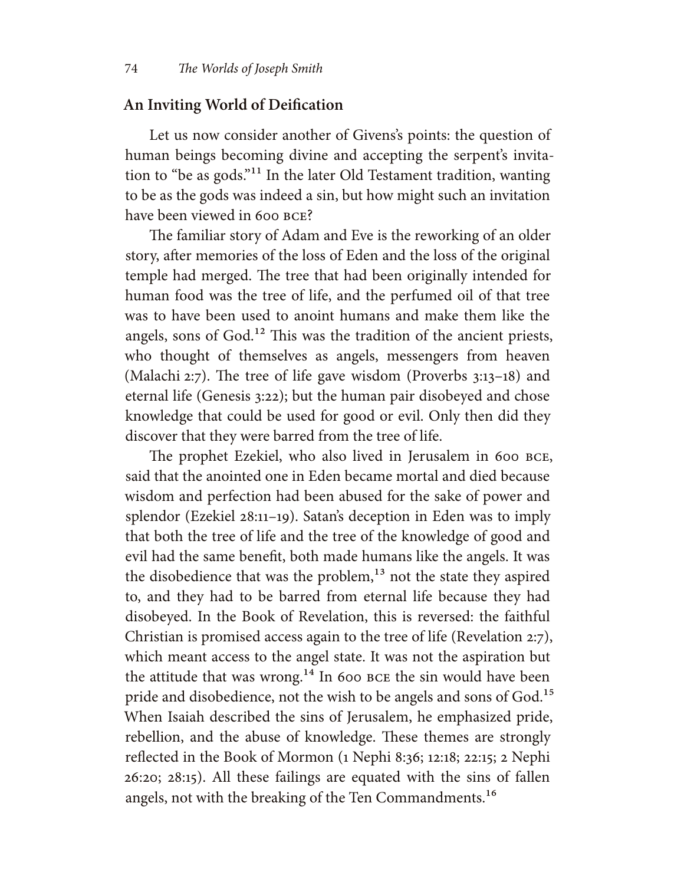#### An Inviting World of Deification

Let us now consider another of Givens's points: the question of human beings becoming divine and accepting the serpent's invitation to "be as gods."<sup>11</sup> In the later Old Testament tradition, wanting to be as the gods was indeed a sin, but how might such an invitation have been viewed in 600 BCE?

The familiar story of Adam and Eve is the reworking of an older story, after memories of the loss of Eden and the loss of the original temple had merged. The tree that had been originally intended for human food was the tree of life, and the perfumed oil of that tree was to have been used to anoint humans and make them like the angels, sons of God.<sup>12</sup> This was the tradition of the ancient priests, who thought of themselves as angels, messengers from heaven (Malachi 2:7). The tree of life gave wisdom (Proverbs 3:13-18) and eternal life (Genesis 3:22); but the human pair disobeyed and chose knowledge that could be used for good or evil. Only then did they discover that they were barred from the tree of life.

The prophet Ezekiel, who also lived in Jerusalem in 600 BCE, said that the anointed one in Eden became mortal and died because wisdom and perfection had been abused for the sake of power and splendor (Ezekiel  $28:11-19$ ). Satan's deception in Eden was to imply that both the tree of life and the tree of the knowledge of good and evil had the same benefit, both made humans like the angels. It was the disobedience that was the problem,<sup>13</sup> not the state they aspired to, and they had to be barred from eternal life because they had disobeyed. In the Book of Revelation, this is reversed: the faithful Christian is promised access again to the tree of life (Revelation 2:7), which meant access to the angel state. It was not the aspiration but the attitude that was wrong.<sup>14</sup> In 600 BCE the sin would have been pride and disobedience, not the wish to be angels and sons of God.<sup>15</sup> When Isaiah described the sins of Jerusalem, he emphasized pride, rebellion, and the abuse of knowledge. These themes are strongly reflected in the Book of Mormon (1 Nephi 8:36; 12:18; 22:15; 2 Nephi 26:20; 28:15). All these failings are equated with the sins of fallen angels, not with the breaking of the Ten Commandments.<sup>16</sup>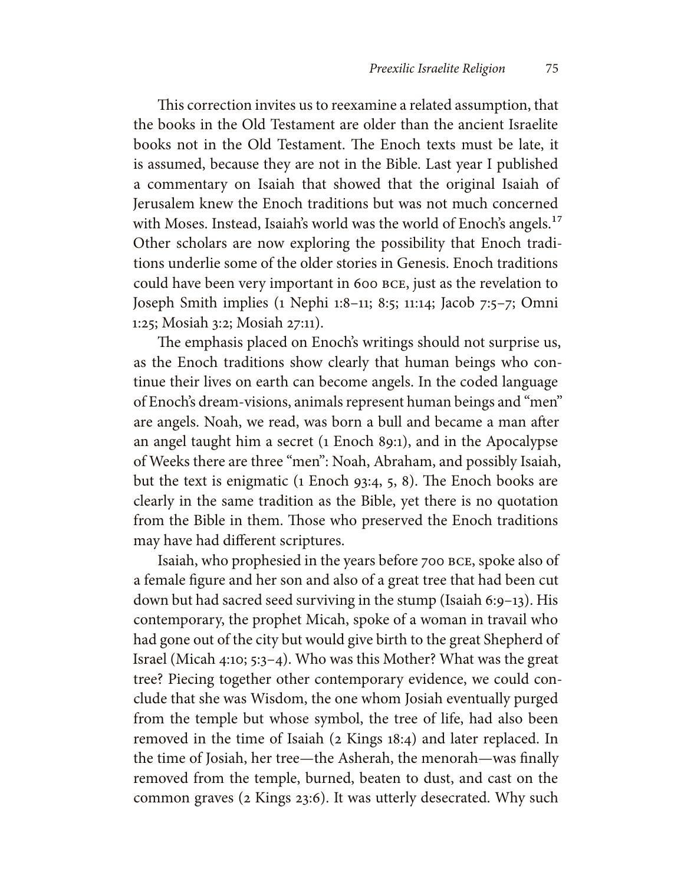This correction invites us to reexamine a related assumption, that the books in the Old Testament are older than the ancient Israelite books not in the Old Testament. The Enoch texts must be late, it is assumed, because they are not in the Bible. Last year I published a commentary on Isaiah that showed that the original Isaiah of Jerusalem knew the Enoch traditions but was not much concerned with Moses. Instead, Isaiah's world was the world of Enoch's angels.<sup>17</sup> Other scholars are now exploring the possibility that Enoch traditions underlie some of the older stories in Genesis. Enoch traditions could have been very important in 600 BCE, just as the revelation to Joseph Smith implies (1 Nephi 1:8-11; 8:5; 11:14; Jacob 7:5-7; Omni 1:25; Mosiah 3:2; Mosiah 27:11).

The emphasis placed on Enoch's writings should not surprise us, as the Enoch traditions show clearly that human beings who continue their lives on earth can become angels. In the coded language of Enoch's dream-visions, animals represent human beings and "men" are angels. Noah, we read, was born a bull and became a man after an angel taught him a secret (1 Enoch 89:1), and in the Apocalypse of Weeks there are three "men": Noah, Abraham, and possibly Isaiah, but the text is enigmatic (1 Enoch 93:4, 5, 8). The Enoch books are clearly in the same tradition as the Bible, yet there is no quotation from the Bible in them. Those who preserved the Enoch traditions may have had different scriptures.

Isaiah, who prophesied in the years before 700 BCE, spoke also of a female figure and her son and also of a great tree that had been cut down but had sacred seed surviving in the stump (Isaiah 6:9-13). His contemporary, the prophet Micah, spoke of a woman in travail who had gone out of the city but would give birth to the great Shepherd of Israel (Micah 4:10; 5:3-4). Who was this Mother? What was the great tree? Piecing together other contemporary evidence, we could conclude that she was Wisdom, the one whom Josiah eventually purged from the temple but whose symbol, the tree of life, had also been removed in the time of Isaiah (2 Kings 18:4) and later replaced. In the time of Josiah, her tree—the Asherah, the menorah—was finally removed from the temple, burned, beaten to dust, and cast on the common graves (2 Kings 23:6). It was utterly desecrated. Why such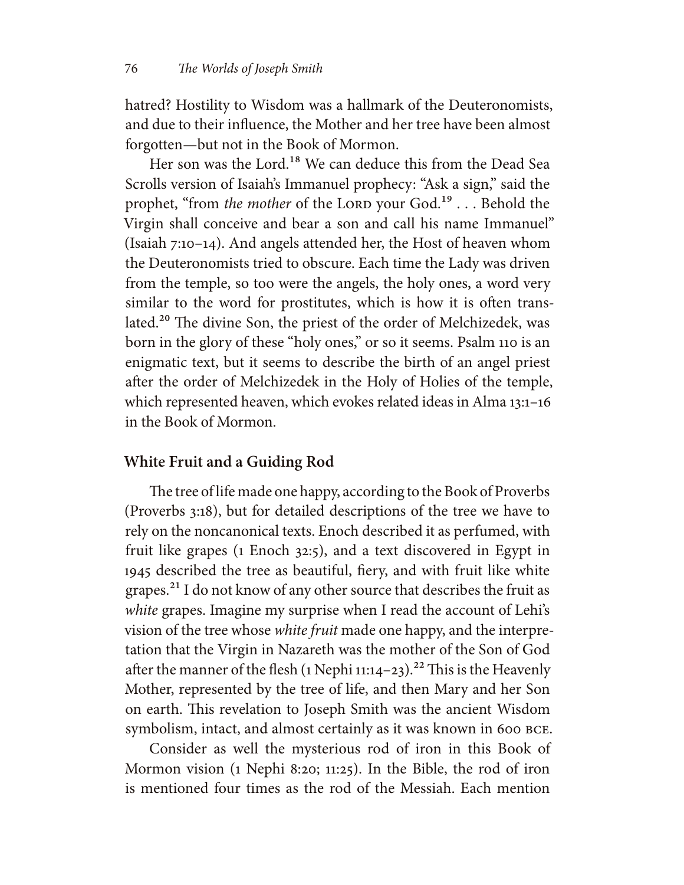hatred? Hostility to Wisdom was a hallmark of the Deuteronomists, and due to their influence, the Mother and her tree have been almost forgotten-but not in the Book of Mormon.

Her son was the Lord.<sup>18</sup> We can deduce this from the Dead Sea Scrolls version of Isaiah's Immanuel prophecy: "Ask a sign," said the prophet, "from the mother of the LORD your God.<sup>19</sup> ... Behold the Virgin shall conceive and bear a son and call his name Immanuel" (Isaiah  $7:10-14$ ). And angels attended her, the Host of heaven whom the Deuteronomists tried to obscure. Each time the Lady was driven from the temple, so too were the angels, the holy ones, a word very similar to the word for prostitutes, which is how it is often translated.<sup>20</sup> The divine Son, the priest of the order of Melchizedek, was born in the glory of these "holy ones," or so it seems. Psalm 110 is an enigmatic text, but it seems to describe the birth of an angel priest after the order of Melchizedek in the Holy of Holies of the temple, which represented heaven, which evokes related ideas in Alma 13:1-16 in the Book of Mormon.

## White Fruit and a Guiding Rod

The tree of life made one happy, according to the Book of Proverbs (Proverbs 3:18), but for detailed descriptions of the tree we have to rely on the noncanonical texts. Enoch described it as perfumed, with fruit like grapes (1 Enoch 32:5), and a text discovered in Egypt in 1945 described the tree as beautiful, fiery, and with fruit like white grapes.<sup>21</sup> I do not know of any other source that describes the fruit as white grapes. Imagine my surprise when I read the account of Lehi's vision of the tree whose white fruit made one happy, and the interpretation that the Virgin in Nazareth was the mother of the Son of God after the manner of the flesh (1 Nephi 11:14-23).<sup>22</sup> This is the Heavenly Mother, represented by the tree of life, and then Mary and her Son on earth. This revelation to Joseph Smith was the ancient Wisdom symbolism, intact, and almost certainly as it was known in 600 BCE.

Consider as well the mysterious rod of iron in this Book of Mormon vision (1 Nephi 8:20; 11:25). In the Bible, the rod of iron is mentioned four times as the rod of the Messiah. Each mention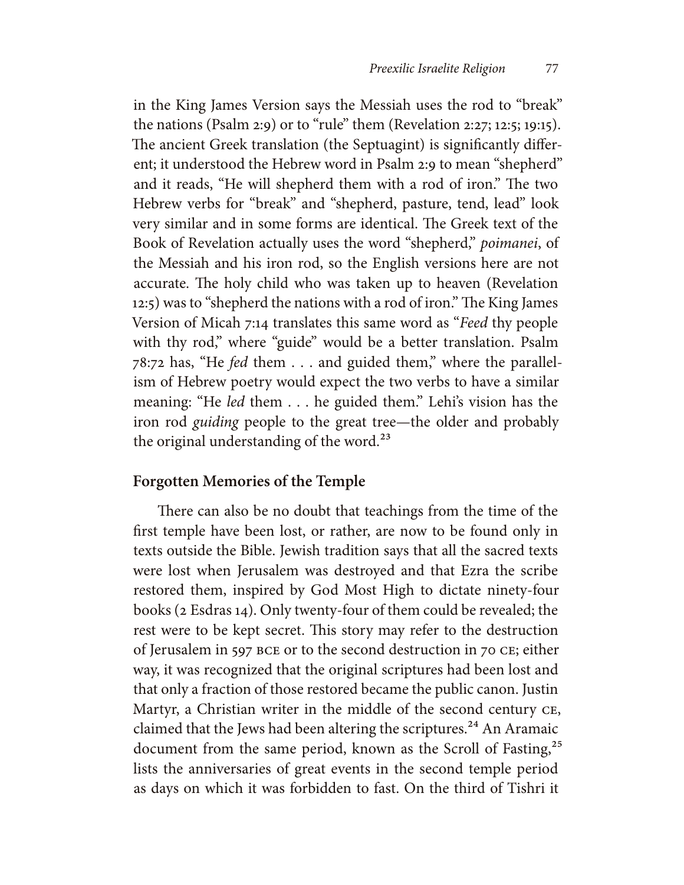in the King James Version says the Messiah uses the rod to "break" the nations (Psalm 2:9) or to "rule" them (Revelation 2:27; 12:5; 19:15). The ancient Greek translation (the Septuagint) is significantly different; it understood the Hebrew word in Psalm 2:9 to mean "shepherd" and it reads, "He will shepherd them with a rod of iron." The two Hebrew verbs for "break" and "shepherd, pasture, tend, lead" look very similar and in some forms are identical. The Greek text of the Book of Revelation actually uses the word "shepherd," poimanei, of the Messiah and his iron rod, so the English versions here are not accurate. The holy child who was taken up to heaven (Revelation 12:5) was to "shepherd the nations with a rod of iron." The King James Version of Micah 7:14 translates this same word as "Feed thy people" with thy rod," where "guide" would be a better translation. Psalm 78:72 has, "He fed them . . . and guided them," where the parallelism of Hebrew poetry would expect the two verbs to have a similar meaning: "He led them . . . he guided them." Lehi's vision has the iron rod *guiding* people to the great tree—the older and probably the original understanding of the word.<sup>23</sup>

## **Forgotten Memories of the Temple**

There can also be no doubt that teachings from the time of the first temple have been lost, or rather, are now to be found only in texts outside the Bible. Jewish tradition says that all the sacred texts were lost when Jerusalem was destroyed and that Ezra the scribe restored them, inspired by God Most High to dictate ninety-four books (2 Esdras 14). Only twenty-four of them could be revealed; the rest were to be kept secret. This story may refer to the destruction of Jerusalem in 597 BCE or to the second destruction in 70 CE; either way, it was recognized that the original scriptures had been lost and that only a fraction of those restored became the public canon. Justin Martyr, a Christian writer in the middle of the second century CE, claimed that the Jews had been altering the scriptures.<sup>24</sup> An Aramaic document from the same period, known as the Scroll of Fasting,<sup>25</sup> lists the anniversaries of great events in the second temple period as days on which it was forbidden to fast. On the third of Tishri it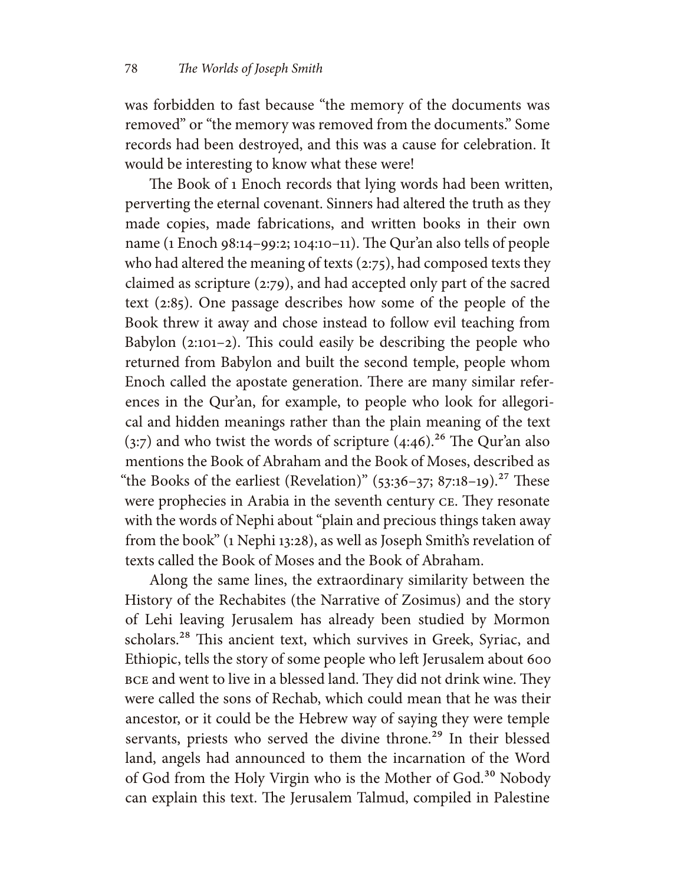was forbidden to fast because "the memory of the documents was removed" or "the memory was removed from the documents." Some records had been destroyed, and this was a cause for celebration. It would be interesting to know what these were!

The Book of 1 Enoch records that lying words had been written, perverting the eternal covenant. Sinners had altered the truth as they made copies, made fabrications, and written books in their own name (1 Enoch 98:14-99:2; 104:10-11). The Qur'an also tells of people who had altered the meaning of texts  $(2:75)$ , had composed texts they claimed as scripture (2.79), and had accepted only part of the sacred text (2:85). One passage describes how some of the people of the Book threw it away and chose instead to follow evil teaching from Babylon  $(2:101-2)$ . This could easily be describing the people who returned from Babylon and built the second temple, people whom Enoch called the apostate generation. There are many similar references in the Qur'an, for example, to people who look for allegorical and hidden meanings rather than the plain meaning of the text  $(3:7)$  and who twist the words of scripture  $(4:46)$ <sup>26</sup> The Qur'an also mentions the Book of Abraham and the Book of Moses, described as "the Books of the earliest (Revelation)"  $(53:36-37; 87:18-19).^{27}$  These were prophecies in Arabia in the seventh century CE. They resonate with the words of Nephi about "plain and precious things taken away from the book" (1 Nephi 13:28), as well as Joseph Smith's revelation of texts called the Book of Moses and the Book of Abraham.

Along the same lines, the extraordinary similarity between the History of the Rechabites (the Narrative of Zosimus) and the story of Lehi leaving Jerusalem has already been studied by Mormon scholars.<sup>28</sup> This ancient text, which survives in Greek, Syriac, and Ethiopic, tells the story of some people who left Jerusalem about 600 BCE and went to live in a blessed land. They did not drink wine. They were called the sons of Rechab, which could mean that he was their ancestor, or it could be the Hebrew way of saying they were temple servants, priests who served the divine throne.<sup>29</sup> In their blessed land, angels had announced to them the incarnation of the Word of God from the Holy Virgin who is the Mother of God.<sup>30</sup> Nobody can explain this text. The Jerusalem Talmud, compiled in Palestine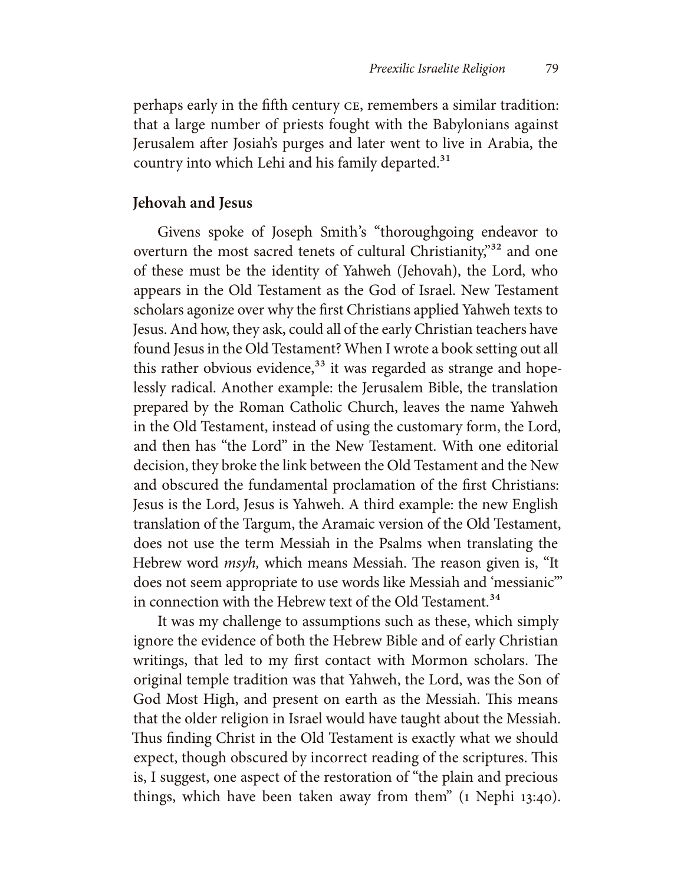perhaps early in the fifth century CE, remembers a similar tradition: that a large number of priests fought with the Babylonians against Jerusalem after Josiah's purges and later went to live in Arabia, the country into which Lehi and his family departed.<sup>31</sup>

### **Jehovah and Jesus**

Givens spoke of Joseph Smith's "thoroughgoing endeavor to overturn the most sacred tenets of cultural Christianity,<sup>32</sup> and one of these must be the identity of Yahweh (Jehovah), the Lord, who appears in the Old Testament as the God of Israel. New Testament scholars agonize over why the first Christians applied Yahweh texts to Jesus. And how, they ask, could all of the early Christian teachers have found Jesus in the Old Testament? When I wrote a book setting out all this rather obvious evidence,<sup>33</sup> it was regarded as strange and hopelessly radical. Another example: the Jerusalem Bible, the translation prepared by the Roman Catholic Church, leaves the name Yahweh in the Old Testament, instead of using the customary form, the Lord, and then has "the Lord" in the New Testament. With one editorial decision, they broke the link between the Old Testament and the New and obscured the fundamental proclamation of the first Christians: Jesus is the Lord, Jesus is Yahweh. A third example: the new English translation of the Targum, the Aramaic version of the Old Testament, does not use the term Messiah in the Psalms when translating the Hebrew word *msyh*, which means Messiah. The reason given is, "It does not seem appropriate to use words like Messiah and 'messianic'" in connection with the Hebrew text of the Old Testament.<sup>34</sup>

It was my challenge to assumptions such as these, which simply ignore the evidence of both the Hebrew Bible and of early Christian writings, that led to my first contact with Mormon scholars. The original temple tradition was that Yahweh, the Lord, was the Son of God Most High, and present on earth as the Messiah. This means that the older religion in Israel would have taught about the Messiah. Thus finding Christ in the Old Testament is exactly what we should expect, though obscured by incorrect reading of the scriptures. This is, I suggest, one aspect of the restoration of "the plain and precious things, which have been taken away from them" (1 Nephi 13:40).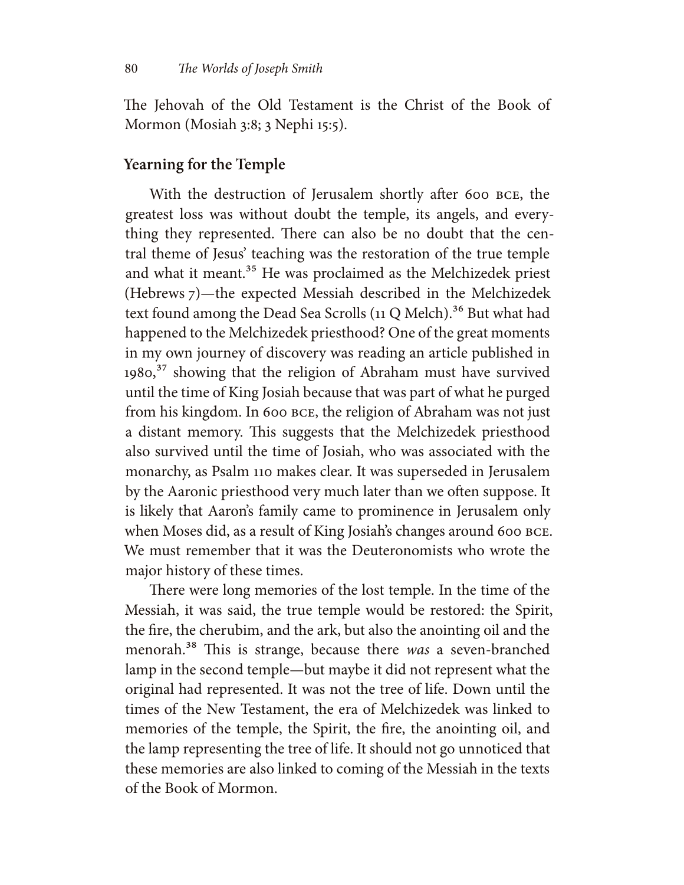The Jehovah of the Old Testament is the Christ of the Book of Mormon (Mosiah 3:8; 3 Nephi 15:5).

## **Yearning for the Temple**

With the destruction of Jerusalem shortly after 600 BCE, the greatest loss was without doubt the temple, its angels, and everything they represented. There can also be no doubt that the central theme of Jesus' teaching was the restoration of the true temple and what it meant.<sup>35</sup> He was proclaimed as the Melchizedek priest (Hebrews 7)—the expected Messiah described in the Melchizedek text found among the Dead Sea Scrolls (11 Q Melch).<sup>36</sup> But what had happened to the Melchizedek priesthood? One of the great moments in my own journey of discovery was reading an article published in 1980,<sup>37</sup> showing that the religion of Abraham must have survived until the time of King Josiah because that was part of what he purged from his kingdom. In 600 BCE, the religion of Abraham was not just a distant memory. This suggests that the Melchizedek priesthood also survived until the time of Josiah, who was associated with the monarchy, as Psalm 110 makes clear. It was superseded in Jerusalem by the Aaronic priesthood very much later than we often suppose. It is likely that Aaron's family came to prominence in Jerusalem only when Moses did, as a result of King Josiah's changes around 600 BCE. We must remember that it was the Deuteronomists who wrote the major history of these times.

There were long memories of the lost temple. In the time of the Messiah, it was said, the true temple would be restored: the Spirit, the fire, the cherubim, and the ark, but also the anointing oil and the menorah.<sup>38</sup> This is strange, because there was a seven-branched lamp in the second temple—but maybe it did not represent what the original had represented. It was not the tree of life. Down until the times of the New Testament, the era of Melchizedek was linked to memories of the temple, the Spirit, the fire, the anointing oil, and the lamp representing the tree of life. It should not go unnoticed that these memories are also linked to coming of the Messiah in the texts of the Book of Mormon.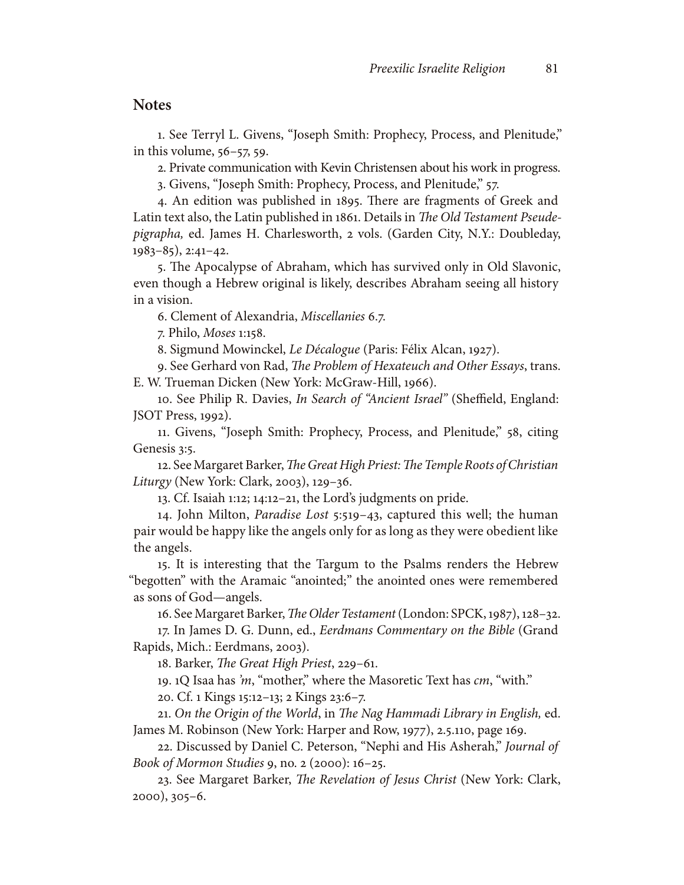#### **Notes**

1. See Terryl L. Givens, "Joseph Smith: Prophecy, Process, and Plenitude," in this volume,  $56 - 57$ ,  $59$ .

2. Private communication with Kevin Christensen about his work in progress.

3. Givens, "Joseph Smith: Prophecy, Process, and Plenitude," 57.

4. An edition was published in 1895. There are fragments of Greek and Latin text also, the Latin published in 1861. Details in The Old Testament Pseude*pigrapha*, ed. James H. Charlesworth, 2 vols. (Garden City, N.Y.: Doubleday,  $1983 - 85$ ,  $2:41 - 42$ .

5. The Apocalypse of Abraham, which has survived only in Old Slavonic, even though a Hebrew original is likely, describes Abraham seeing all history in a vision.

6. Clement of Alexandria, Miscellanies 6.7.

7. Philo, *Moses* 1:158.

8. Sigmund Mowinckel, Le Décalogue (Paris: Félix Alcan, 1927).

9. See Gerhard von Rad, The Problem of Hexateuch and Other Essays, trans. E. W. Trueman Dicken (New York: McGraw-Hill, 1966).

10. See Philip R. Davies, In Search of "Ancient Israel" (Sheffield, England: JSOT Press,  $1992$ ).

11. Givens, "Joseph Smith: Prophecy, Process, and Plenitude," 58, citing Genesis 3:5.

12. See Margaret Barker, The Great High Priest: The Temple Roots of Christian Liturgy (New York: Clark, 2003), 129-36.

13. Cf. Isaiah 1:12; 14:12-21, the Lord's judgments on pride.

14. John Milton, *Paradise Lost* 5:519-43, captured this well; the human pair would be happy like the angels only for as long as they were obedient like the angels.

15. It is interesting that the Targum to the Psalms renders the Hebrew "begotten" with the Aramaic "anointed;" the anointed ones were remembered as sons of God—angels.

16. See Margaret Barker, *The Older Testament* (London: SPCK, 1987), 128–32.

17. In James D. G. Dunn, ed., *Eerdmans Commentary on the Bible* (Grand Rapids, Mich.: Eerdmans, 2003).

18. Barker, The Great High Priest, 229-61.

19. 1Q Isaa has 'm, "mother," where the Masoretic Text has cm, "with."

20. Cf. 1 Kings 15:12-13; 2 Kings 23:6-7.

21. On the Origin of the World, in The Nag Hammadi Library in English, ed. James M. Robinson (New York: Harper and Row, 1977), 2.5.110, page 169.

22. Discussed by Daniel C. Peterson, "Nephi and His Asherah," Journal of Book of Mormon Studies 9, no. 2 (2000): 16-25.

23. See Margaret Barker, The Revelation of Jesus Christ (New York: Clark,  $2000$ ,  $305-6$ .